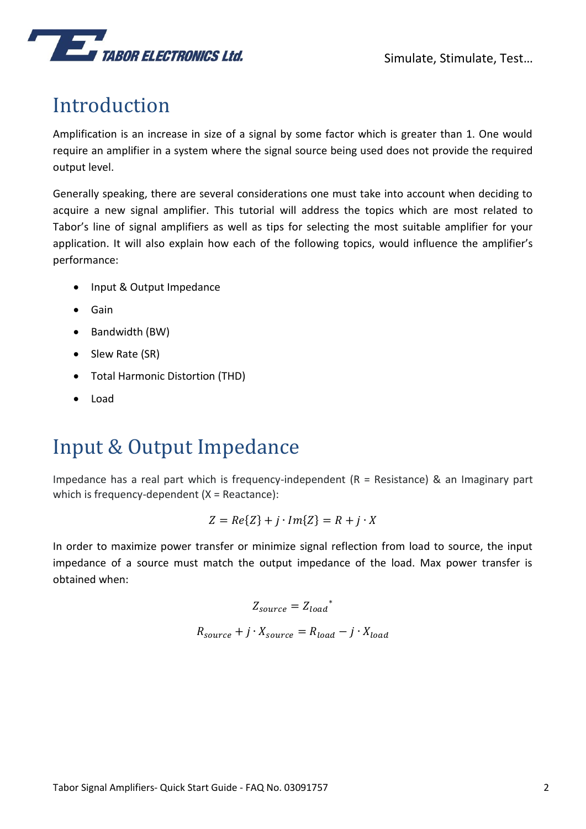## Introduction

Amplification is an increase in size of a signal by some factor which is greater than 1. One would require an amplifier in a system where the signal source being used does not provide the required output level.

Generally speaking, there are several considerations one must take into account when deciding to acquire a new signal amplifier. This tutorial will address the topics which are most related to Tabor's line of signal amplifiers as well as tips for selecting the most suitable amplifier for your application. It will also explain how each of the following topics, would influence the amplifier's performance:

- Input & Output Impedance
- Gain
- Bandwidth (BW)
- Slew Rate (SR)
- Total Harmonic Distortion (THD)
- Load

## Input & Output Impedance

Impedance has a real part which is frequency-independent  $(R = Resistance)$  & an Imaginary part which is frequency-dependent (X = Reactance):

$$
Z = Re\{Z\} + j \cdot Im\{Z\} = R + j \cdot X
$$

In order to maximize power transfer or minimize signal reflection from load to source, the input impedance of a source must match the output impedance of the load. Max power transfer is obtained when:

$$
Z_{source} = Z_{load}^*
$$
  

$$
R_{source} + j \cdot X_{source} = R_{load} - j \cdot X_{load}
$$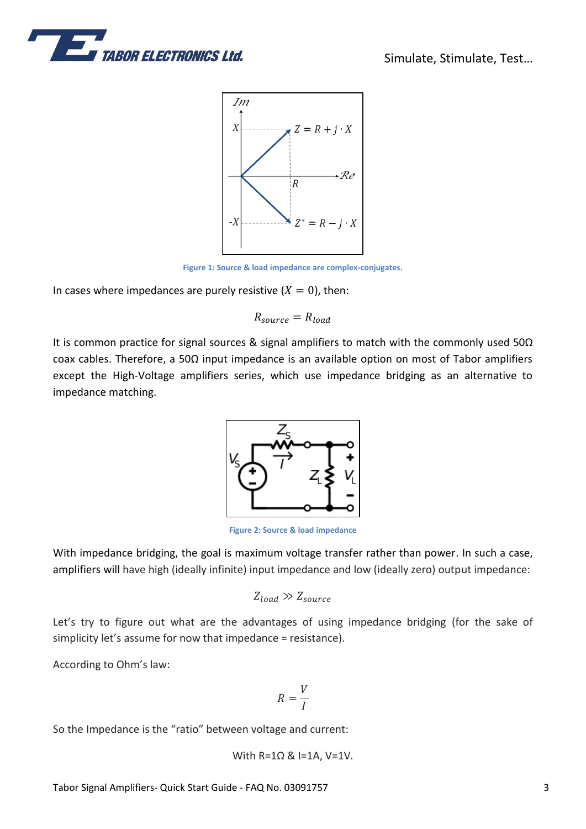



**Figure 1: Source & load impedance are complex-conjugates.**

In cases where impedances are purely resistive  $(X = 0)$ , then:

$$
R_{source} = R_{load}
$$

It is common practice for signal sources & signal amplifiers to match with the commonly used 50Ω coax cables. Therefore, a 50Ω input impedance is an available option on most of Tabor amplifiers except the High-Voltage amplifiers series, which use impedance bridging as an alternative to impedance matching.



**Figure 2: Source & load impedance**

With impedance bridging, the goal is maximum voltage transfer rather than power. In such a case, amplifiers will have high (ideally infinite) input impedance and low (ideally zero) output impedance:

$$
Z_{load} \gg Z_{source}
$$

Let's try to figure out what are the advantages of using impedance bridging (for the sake of simplicity let's assume for now that impedance = resistance).

According to Ohm's law:

$$
R=\frac{V}{I}
$$

So the Impedance is the "ratio" between voltage and current:

With 
$$
R=1\Omega
$$
 &  $I=1A$ ,  $V=1V$ .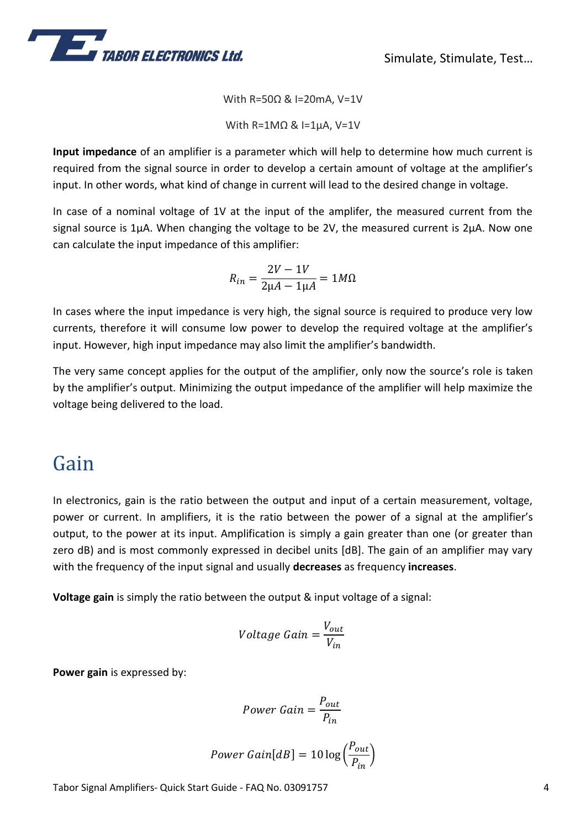

With R=50Ω & I=20mA, V=1V

With R=1MΩ & I=1µA, V=1V

**Input impedance** of an amplifier is a parameter which will help to determine how much current is required from the signal source in order to develop a certain amount of voltage at the amplifier's input. In other words, what kind of change in current will lead to the desired change in voltage.

In case of a nominal voltage of 1V at the input of the amplifer, the measured current from the signal source is 1 $\mu$ A. When changing the voltage to be 2V, the measured current is 2 $\mu$ A. Now one can calculate the input impedance of this amplifier:

$$
R_{in} = \frac{2V - 1V}{2\mu A - 1\mu A} = 1M\Omega
$$

In cases where the input impedance is very high, the signal source is required to produce very low currents, therefore it will consume low power to develop the required voltage at the amplifier's input. However, high input impedance may also limit the amplifier's bandwidth.

The very same concept applies for the output of the amplifier, only now the source's role is taken by the amplifier's output. Minimizing the output impedance of the amplifier will help maximize the voltage being delivered to the load.

## Gain

In electronics, gain is the ratio between the output and input of a certain measurement, voltage, power or current. In amplifiers, it is the ratio between the power of a signal at the amplifier's output, to the power at its input. Amplification is simply a gain greater than one (or greater than zero dB) and is most commonly expressed in decibel units [dB]. The gain of an amplifier may vary with the frequency of the input signal and usually **decreases** as frequency **increases**.

**Voltage gain** is simply the ratio between the output & input voltage of a signal:

$$
Voltage Gain = \frac{V_{out}}{V_{in}}
$$

**Power gain** is expressed by:

$$
Power\ Gain = \frac{P_{out}}{P_{in}}
$$

$$
Power\ Gain[dB]=10\log\left(\frac{P_{out}}{P_{in}}\right)
$$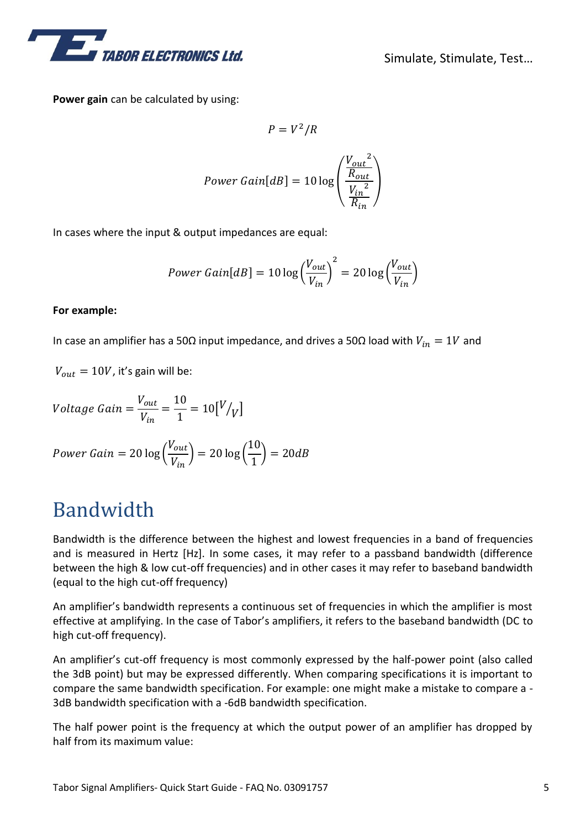

**Power gain** can be calculated by using:

$$
P = V^2/R
$$
  
Power Gain[dB] = 10 log  $\left(\frac{\frac{V_{out}^2}{R_{out}}}{\frac{V_{in}^2}{R_{in}}}\right)$ 

In cases where the input & output impedances are equal:

$$
Power\ Gain[dB] = 10\log\left(\frac{V_{out}}{V_{in}}\right)^2 = 20\log\left(\frac{V_{out}}{V_{in}}\right)
$$

#### **For example:**

In case an amplifier has a 50Ω input impedance, and drives a 50Ω load with  $V_{in} = 1V$  and

 $V_{out} = 10V$ , it's gain will be:

$$
Voltage Gain = \frac{V_{out}}{V_{in}} = \frac{10}{1} = 10 \left[ \frac{V}{V} \right]
$$

$$
Power\ Gain = 20\log\left(\frac{V_{out}}{V_{in}}\right) = 20\log\left(\frac{10}{1}\right) = 20dB
$$

## Bandwidth

Bandwidth is the difference between the highest and lowest frequencies in a band of frequencies and is measured in Hertz [Hz]. In some cases, it may refer to a passband bandwidth (difference between the high & low cut-off frequencies) and in other cases it may refer to baseband bandwidth (equal to the high cut-off frequency)

An amplifier's bandwidth represents a continuous set of frequencies in which the amplifier is most effective at amplifying. In the case of Tabor's amplifiers, it refers to the baseband bandwidth (DC to high cut-off frequency).

An amplifier's cut-off frequency is most commonly expressed by the half-power point (also called the 3dB point) but may be expressed differently. When comparing specifications it is important to compare the same bandwidth specification. For example: one might make a mistake to compare a - 3dB bandwidth specification with a -6dB bandwidth specification.

The half power point is the frequency at which the output power of an amplifier has dropped by half from its maximum value: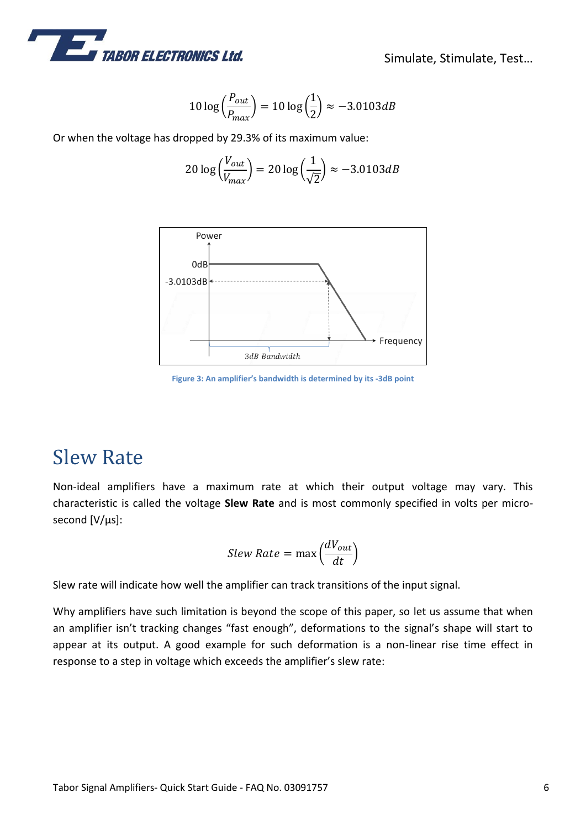

$$
10 \log \left(\frac{P_{out}}{P_{max}}\right) = 10 \log \left(\frac{1}{2}\right) \approx -3.0103 dB
$$

Or when the voltage has dropped by 29.3% of its maximum value:

$$
20\log\left(\frac{V_{out}}{V_{max}}\right) = 20\log\left(\frac{1}{\sqrt{2}}\right) \approx -3.0103dB
$$



**Figure 3: An amplifier's bandwidth is determined by its -3dB point**

## Slew Rate

Non-ideal amplifiers have a maximum rate at which their output voltage may vary. This characteristic is called the voltage **Slew Rate** and is most commonly specified in volts per microsecond [V/µs]:

$$
Slew Rate = \max\left(\frac{dV_{out}}{dt}\right)
$$

Slew rate will indicate how well the amplifier can track transitions of the input signal.

Why amplifiers have such limitation is beyond the scope of this paper, so let us assume that when an amplifier isn't tracking changes "fast enough", deformations to the signal's shape will start to appear at its output. A good example for such deformation is a non-linear rise time effect in response to a step in voltage which exceeds the amplifier's slew rate: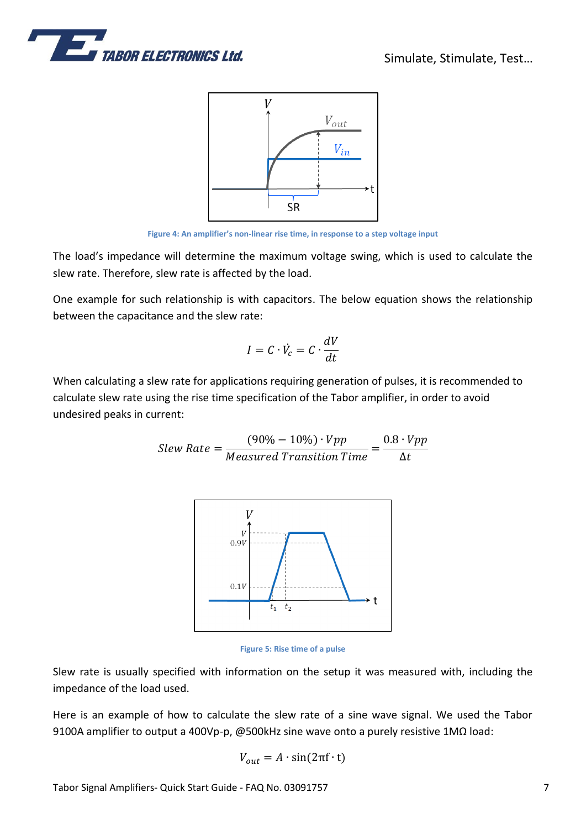



**Figure 4: An amplifier's non-linear rise time, in response to a step voltage input**

The load's impedance will determine the maximum voltage swing, which is used to calculate the slew rate. Therefore, slew rate is affected by the load.

One example for such relationship is with capacitors. The below equation shows the relationship between the capacitance and the slew rate:

$$
I = C \cdot \dot{V}_c = C \cdot \frac{dV}{dt}
$$

When calculating a slew rate for applications requiring generation of pulses, it is recommended to calculate slew rate using the rise time specification of the Tabor amplifier, in order to avoid undesired peaks in current:

$$
Slew Rate = \frac{(90\% - 10\%) \cdot Vpp}{Measured Transition Time} = \frac{0.8 \cdot Vpp}{\Delta t}
$$



**Figure 5: Rise time of a pulse**

Slew rate is usually specified with information on the setup it was measured with, including the impedance of the load used.

Here is an example of how to calculate the slew rate of a sine wave signal. We used the Tabor 9100A amplifier to output a 400Vp-p, @500kHz sine wave onto a purely resistive 1MΩ load:

$$
V_{out} = A \cdot \sin(2\pi f \cdot t)
$$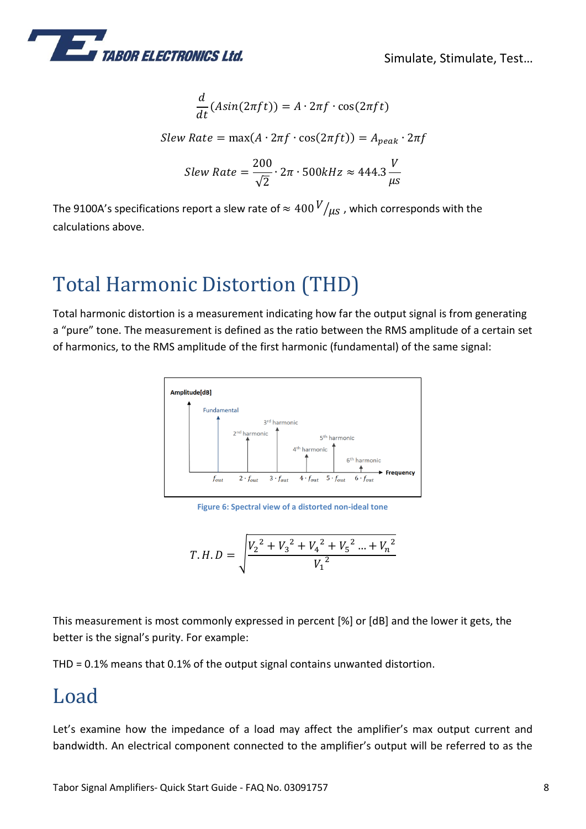

$$
\frac{d}{dt}(Asin(2\pi ft)) = A \cdot 2\pi f \cdot \cos(2\pi ft)
$$
  
\n
$$
Slew Rate = \max(A \cdot 2\pi f \cdot \cos(2\pi ft)) = A_{peak} \cdot 2\pi f
$$
  
\n
$$
Slew Rate = \frac{200}{\sqrt{2}} \cdot 2\pi \cdot 500kHz \approx 444.3 \frac{V}{\mu s}
$$

The 9100A's specifications report a slew rate of  $\approx 400 V/_{\mu s}$  , which corresponds with the calculations above.

# Total Harmonic Distortion (THD)

Total harmonic distortion is a measurement indicating how far the output signal is from generating a "pure" tone. The measurement is defined as the ratio between the RMS amplitude of a certain set of harmonics, to the RMS amplitude of the first harmonic (fundamental) of the same signal:



**Figure 6: Spectral view of a distorted non-ideal tone** 

$$
T.H.D = \sqrt{\frac{{V_2}^2 + {V_3}^2 + {V_4}^2 + {V_5}^2 ... + {V_n}^2}{V_1^2}}
$$

This measurement is most commonly expressed in percent [%] or [dB] and the lower it gets, the better is the signal's purity. For example:

THD = 0.1% means that 0.1% of the output signal contains unwanted distortion.

## Load

Let's examine how the impedance of a load may affect the amplifier's max output current and bandwidth. An electrical component connected to the amplifier's output will be referred to as the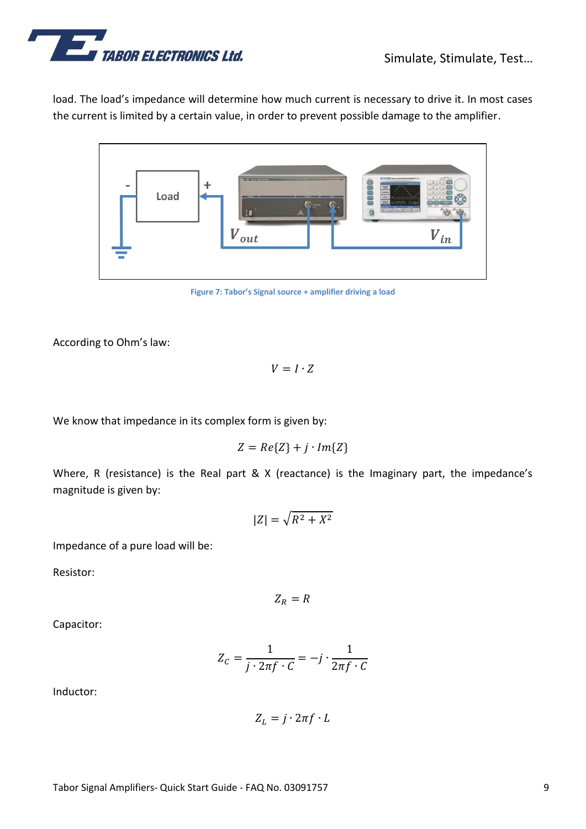

load. The load's impedance will determine how much current is necessary to drive it. In most cases the current is limited by a certain value, in order to prevent possible damage to the amplifier.



**Figure 7: Tabor's Signal source + amplifier driving a load** 

According to Ohm's law:

$$
V = I \cdot Z
$$

We know that impedance in its complex form is given by:

$$
Z = Re\{Z\} + j \cdot Im\{Z\}
$$

Where, R (resistance) is the Real part & X (reactance) is the Imaginary part, the impedance's magnitude is given by:

$$
|Z| = \sqrt{R^2 + X^2}
$$

Impedance of a pure load will be:

Resistor:

 $Z_R = R$ 

Capacitor:

$$
Z_C = \frac{1}{j \cdot 2\pi f \cdot C} = -j \cdot \frac{1}{2\pi f \cdot C}
$$

Inductor:

$$
Z_L = j \cdot 2\pi f \cdot L
$$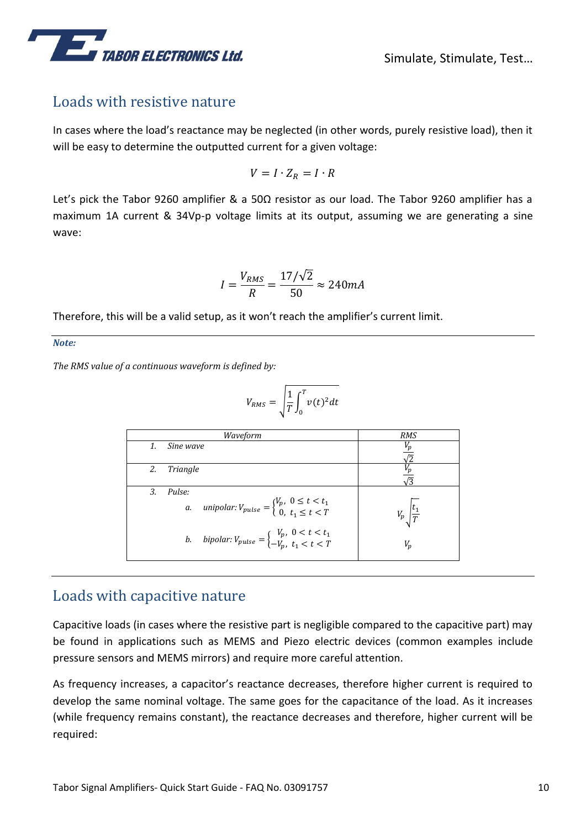

### Loads with resistive nature

In cases where the load's reactance may be neglected (in other words, purely resistive load), then it will be easy to determine the outputted current for a given voltage:

$$
V = I \cdot Z_R = I \cdot R
$$

Let's pick the Tabor 9260 amplifier & a 50Ω resistor as our load. The Tabor 9260 amplifier has a maximum 1A current & 34Vp-p voltage limits at its output, assuming we are generating a sine wave:

$$
I = \frac{V_{RMS}}{R} = \frac{17/\sqrt{2}}{50} \approx 240 mA
$$

Therefore, this will be a valid setup, as it won't reach the amplifier's current limit.

*Note:* 

*The RMS value of a continuous waveform is defined by:*

$$
V_{RMS} = \sqrt{\frac{1}{T} \int_0^T v(t)^2 dt}
$$

| Waveform |           |                                                                                                        | <b>RMS</b>        |
|----------|-----------|--------------------------------------------------------------------------------------------------------|-------------------|
| 1.       | Sine wave |                                                                                                        |                   |
| 2.       | Triangle  |                                                                                                        | $\overline{3}$    |
| 3.       | Pulse:    |                                                                                                        |                   |
|          |           | <i>a. unipolar:</i> $V_{pulse} = \begin{cases} V_p, & 0 \le t < t_1 \\ 0, & t_1 \le t < T \end{cases}$ | $\frac{ t_1 }{T}$ |
|          |           | b. bipolar: $V_{pulse} = \begin{cases} V_p, & 0 < t < t_1 \\ -V_p, & t_1 < t < T \end{cases}$          | $V_n$             |

### Loads with capacitive nature

Capacitive loads (in cases where the resistive part is negligible compared to the capacitive part) may be found in applications such as MEMS and Piezo electric devices (common examples include pressure sensors and MEMS mirrors) and require more careful attention.

As frequency increases, a capacitor's reactance decreases, therefore higher current is required to develop the same nominal voltage. The same goes for the capacitance of the load. As it increases (while frequency remains constant), the reactance decreases and therefore, higher current will be required: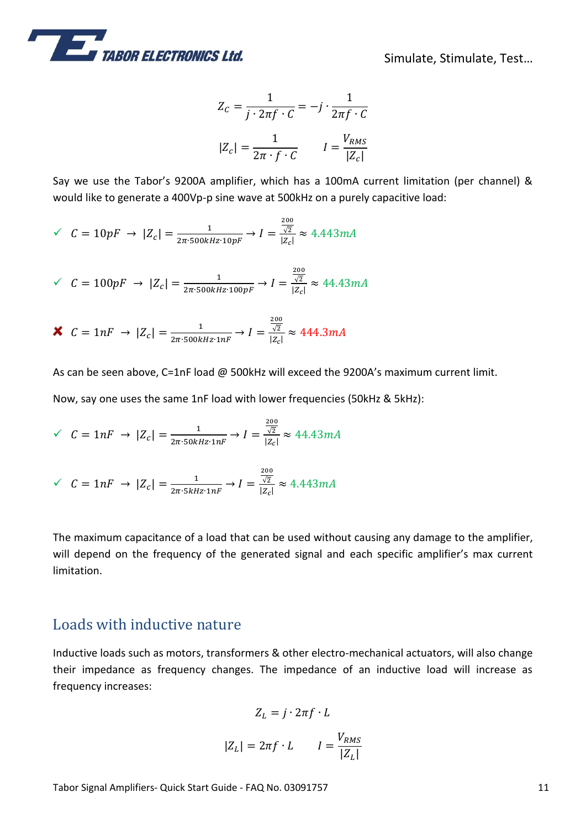

$$
Z_C = \frac{1}{j \cdot 2\pi f \cdot C} = -j \cdot \frac{1}{2\pi f \cdot C}
$$

$$
|Z_C| = \frac{1}{2\pi \cdot f \cdot C} \qquad I = \frac{V_{RMS}}{|Z_C|}
$$

Say we use the Tabor's 9200A amplifier, which has a 100mA current limitation (per channel) & would like to generate a 400Vp-p sine wave at 500kHz on a purely capacitive load:

$$
\sqrt{C} = 10pF \rightarrow |Z_c| = \frac{1}{2\pi \cdot 500kHz \cdot 10pF} \rightarrow I = \frac{\frac{200}{\sqrt{2}}}{|Z_c|} \approx 4.443mA
$$

$$
\check{C} = 100pF \rightarrow |Z_c| = \frac{1}{2\pi \cdot 500kHz \cdot 100pF} \rightarrow I = \frac{\frac{200}{\sqrt{2}}}{|Z_c|} \approx 44.43mA
$$

$$
\mathbf{X} \ \ C = 1nF \ \to \ |Z_c| = \frac{1}{2\pi \cdot 500kHz \cdot 1nF} \to I = \frac{\frac{200}{\sqrt{2}}}{|Z_c|} \approx 444.3mA
$$

As can be seen above, C=1nF load @ 500kHz will exceed the 9200A's maximum current limit. Now, say one uses the same 1nF load with lower frequencies (50kHz & 5kHz):

$$
\check{C} = 1nF \to |Z_c| = \frac{1}{2\pi \cdot 50kHz \cdot 1nF} \to I = \frac{\frac{200}{\sqrt{2}}}{|Z_c|} \approx 44.43mA
$$

$$
\checkmark \quad C = 1nF \rightarrow |Z_c| = \frac{1}{2\pi \cdot 5kHz \cdot 1nF} \rightarrow I = \frac{\frac{200}{\sqrt{2}}}{|Z_c|} \approx 4.443mA
$$

The maximum capacitance of a load that can be used without causing any damage to the amplifier, will depend on the frequency of the generated signal and each specific amplifier's max current limitation.

### Loads with inductive nature

Inductive loads such as motors, transformers & other electro-mechanical actuators, will also change their impedance as frequency changes. The impedance of an inductive load will increase as frequency increases:

$$
Z_L = j \cdot 2\pi f \cdot L
$$

$$
|Z_L| = 2\pi f \cdot L \qquad I = \frac{V_{RMS}}{|Z_L|}
$$